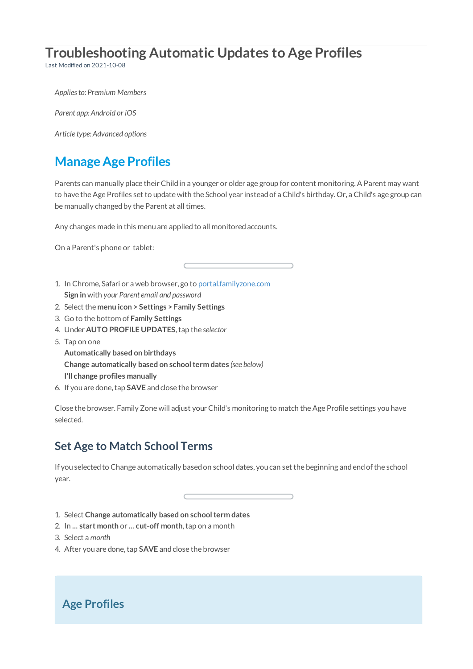# **Troubleshooting Automatic Updates to Age Profiles**

Last Modified on 2021-10-08

*Appliesto: Premium Members*

*Parent app: Android or iOS*

*Article type: Advanced options*

# **Manage Age Profiles**

Parents can manually place their Child in a younger or older age group for content monitoring. A Parent may want to have theAge Profiles set to update with the School year insteadof a Child's birthday. Or, a Child's age group can be manually changed by the Parent at all times.

Any changes made in this menu are applied to all monitored accounts.

On a Parent's phone or tablet:

- 1. In Chrome, Safari or a web browser, go to portal.familyzone.com **Sign in** with *your Parent email and password*
- 2. Select the **menu icon > Settings > Family Settings**
- 3. Go to the bottom of **Family Settings**
- 4. Under **AUTO PROFILE UPDATES**,tap the *selector*
- 5. Tap on one

**Automatically based on birthdays Change automatically based on schoolterm dates** *(see below)* **I'll change profiles manually**

6. If youare done,tap **SAVE** andclose the browser

Close the browser. Family Zone will adjust your Child's monitoring to match the Age Profile settings you have selected.

## **Set Age to Match School Terms**

If you selected to Change automatically based on school dates, you can set the beginning and end of the school year.

- 1. Select **Change automatically based on schoolterm dates**
- 2. In **... start month** or **... cut-off month**,tap on a month
- 3. Select a *month*
- 4. After you are done, tap **SAVE** and close the browser

## **Age Profiles**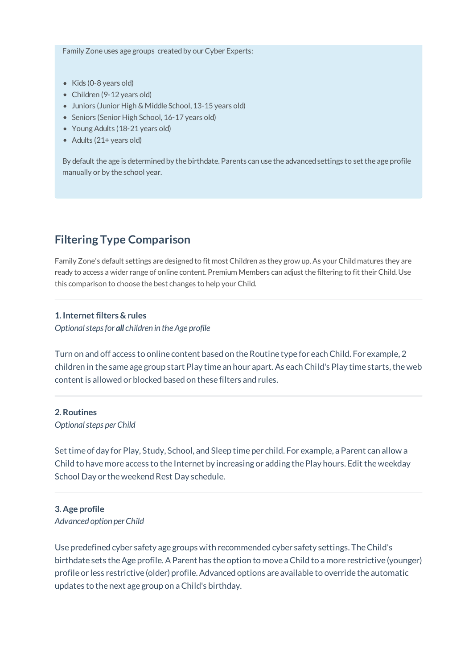Family Zone uses age groups created by our Cyber Experts:

- Kids (0-8 years old)
- Children (9-12 years old)
- Juniors (Junior High & Middle School, 13-15 years old)
- Seniors (Senior High School, 16-17 years old)
- Young Adults (18-21 years old)
- Adults (21+ years old)

By default the age is determined by the birthdate. Parents can use the advanced settings to set the age profile manually or by the school year.

### **Filtering Type Comparison**

Family Zone's default settings are designed to fit most Children as they grow up. As your Child matures they are ready to access a wider range of online content. Premium Members can adjust the filtering to fit their Child. Use this comparison to choose the best changes to help your Child.

### **1. Internetfilters & rules**

*Optionalstepsfor all children in the Age profile*

Turn on and off access to online content based on the Routine type for each Child. For example, 2 children in the same age group start Play time an hour apart. As each Child's Play time starts, the web content is allowed or blocked based on these filters and rules.

#### **2. Routines**

*Optionalsteps perChild*

Set time of day for Play, Study, School, and Sleep time per child. For example, a Parent can allow a Child to have more access to the Internet by increasing or adding the Play hours. Edit the weekday School Day or theweekend Rest Day schedule.

### **3. Age profile** *Advanced option perChild*

Use predefined cyber safety age groups with recommended cyber safety settings. TheChild's birthdate sets the Age profile. A Parent has the option to move a Child to a more restrictive (younger) profile or less restrictive (older) profile. Advanced options are available to override the automatic updates to the next age group on aChild's birthday.